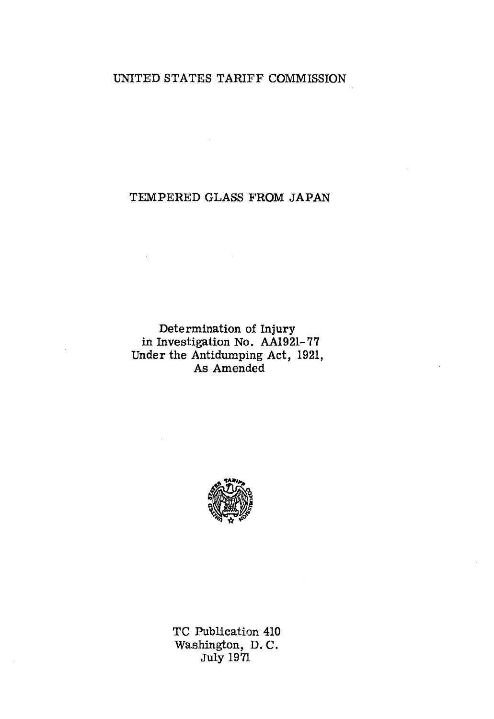# UNITED STATES TARIFF COMMISSION

# TEMPERED GLASS FROM JAPAN

Determination of Injury in Investigation No. AA1921-77 Under the Antidumping Act, 1921, As Amended



TC Publication 410 Washington, D. C. July 1971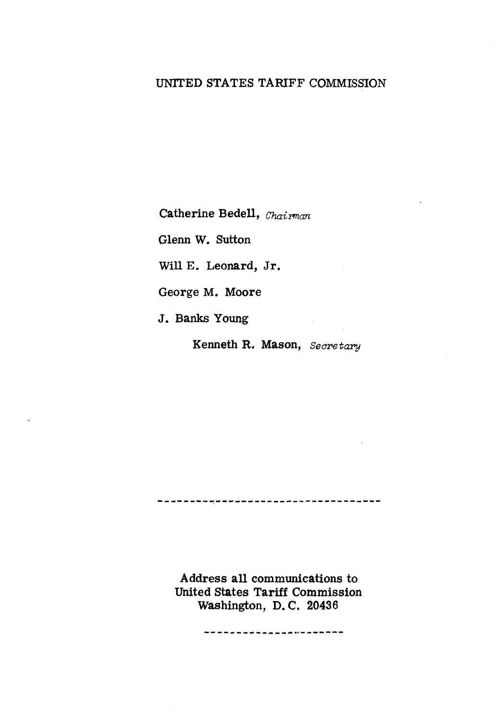# UNITED STATES TARIFF COMMISSION

Catherine Bedell, *Chairman* 

Glenn W. Sutton

Will E. Leonard, Jr.

George M. Moore

J. Banks Young

Kenneth R. Mason, *Secretary* 

-------------------------------------

Address all communications to United States Tariff Commission Washington, D. C. 20436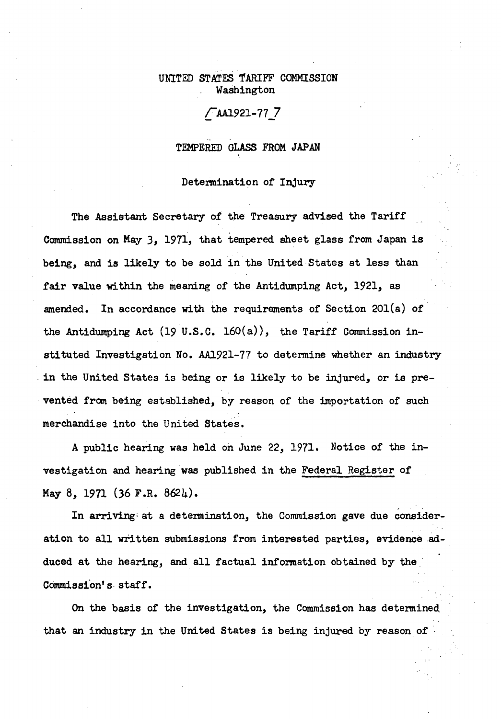## UNITED STATES TARIFF COMMISSION Washington

## CAA1921-11 J

# TEMPERED GLASS FROM JAPAN

'

#### Determination or Injury

The Assistant Secretary of the Treasury advised the Tariff Commission on May 3, 1971, that tempered sheet glass from Japan is being, and is likely to be sold in the United States at less than fair value within the meaning of the Antidumping Act, 1921, as amended. In accordance with the requirements of Section 20l(a) or the Antidumping Act (19 U.S.C. 160(a)), the Tariff Commission instituted Investigation No. AA1921-77 to determine whether an industry in the United States is being or is likely to be injured, or is prevented from being established, by reason of the importation of such merchandise into the United States.

A public hearing was held on June 22, 1971. Notice of the investigation and hearing was published in the Federal Register of May 8, 1971 (36 F.R. 8624).

In arriving• at a determination, the Commission gave due consideration to all written submissions from interested parties, evidence adduced at the hearing, and all factual information obtained by the COmmission's- staff.

On the basis of the investigation, the Commission has detennined that an industry in the United States is being injured by reason of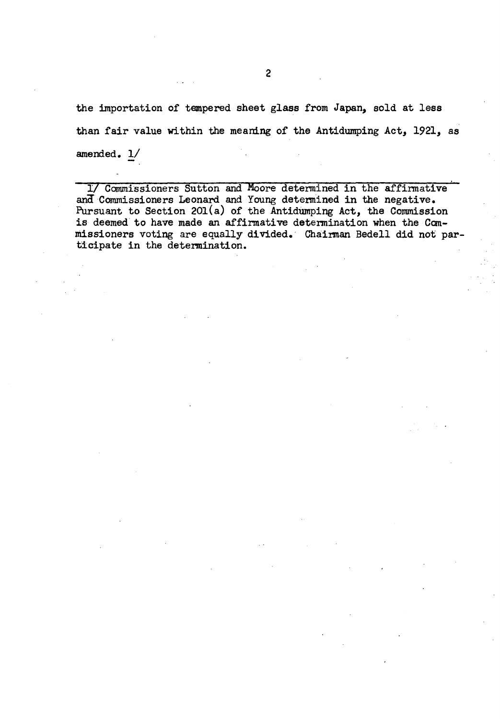the importation of tempered sheet glass from Japan, sold at less than fair value within the meaning of the Antidumping Act, 1921, as amended. 1/

1/ Commissioners Sutton and Moore determined in the affirmative and Commissioners Leonard and Young determined in the negative. Pursuant to Section 201(a) of the Antidumping Act, the Commission is deemed to have made an affirmative determination when the Commissioners voting are equally divided. Chairman Bedell did not participate in the determination.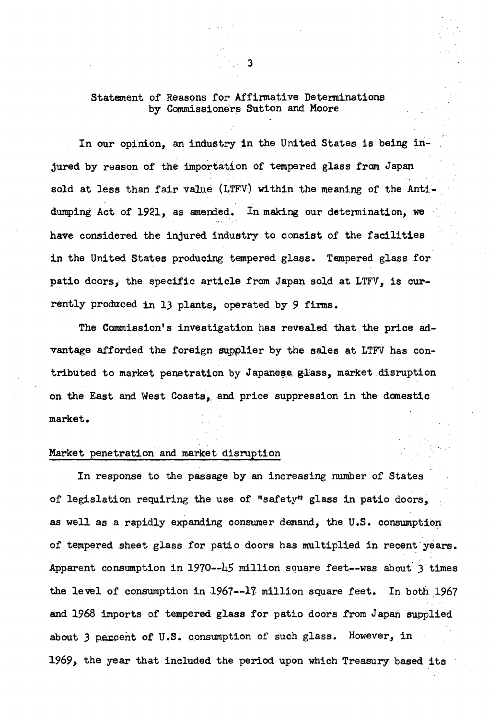### Statement of Reasons for Affirmative Determinations by Commissioners Sutton and Moore

In our opinion, an industry in the United States is being injured by reason of the importation of tempered glass from Japan sold at less than fair value (LTFV) within the meaning of the Antidumping Act of 1921, as amended. In making our determination, we have considered the injured industry to consist of the facilities in the United States producing tempered glass. Tempered glass for patio doors, the specific article from Japan sold at LTFV, is currently produced in 13 plants, operated by 9 firms.

The Commission's investigation has revealed that the price advantage afforded the foreign supplier by the sales at LTFV has contributed to market penetration by Japanese glass, market disruption on the East and West Coasts, and price suppression in the danestic market.

#### Market penetration and market disruption

In response to the passage by an increasing number of States of legislation requiring the use of "safety" glass in patio doors, as well as a rapidly expanding consumer demand, the U.S. consumption of tempered sheet glass for patio doors has multiplied in recent'years. Apparent consumption in 1970--45 million square feet--was about 3 times the level of consumption in 1967--17 million square feet. In both 1967 and 1968 imports of tempered glass for patio doors from Japan supplied about 3 percent of U.S. consumption of such glass. However, in 1969, the year that included the period upon which Treasury based its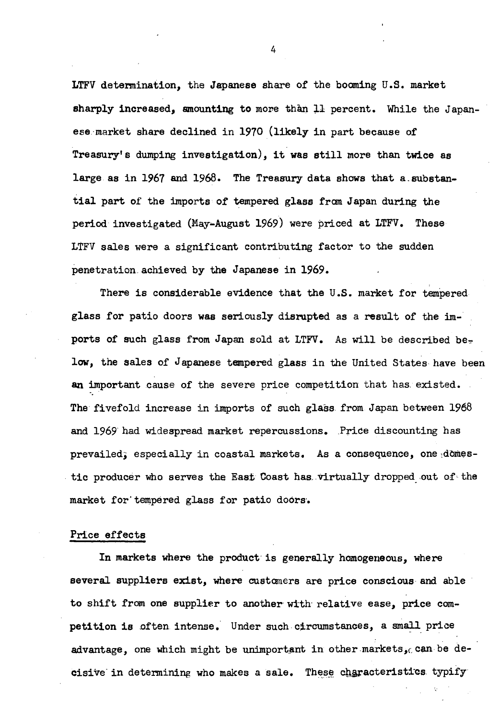LTFV determination, the Japanese share of the booming U.S. market sharply increased, amounting to more than 11 percent. While the Japanese market share declined in 1970 (likely in part because of Treasury's dumping investigation), it was still more than twice as large as in 1967 and 1968. The Treasury data shows that a.substantial part of the imports of tempered glass from Japan during the period investigated (May-August 1969) were priced at LTFV. These LTFV sales were a significant contributing factor to the sudden penetration achieved by the Japanese in 1969.

There is considerable evidence that the U.S. market for tempered glass for patio doors was seriously disrupted as a result of the imports of such glass from Japan sold at LTFV. As will be described be. low, the sales of Japanese tempered glass in the United States have been an important cause of the severe price competition that has existed. The fivefold increase in imports of such glass from Japan between 1968 and 1969 had widespread market repercussions. Price discounting has prevailed; especially in coastal markets. As a consequence, one,domestic producer who serves the East Coast has virtually dropped out of the market for' tempered glass for patio doors·.

#### Price effects

In markets where the product is generally homogeneous, where several suppliers exist, where customers are price conscious and able to shift from one supplier to another with· relative ease, price competition is often intense. Under such circumstances, a small price advantage, one which might be unimportant in other markets, can be decisive in determining who makes a sale. These characteristics typify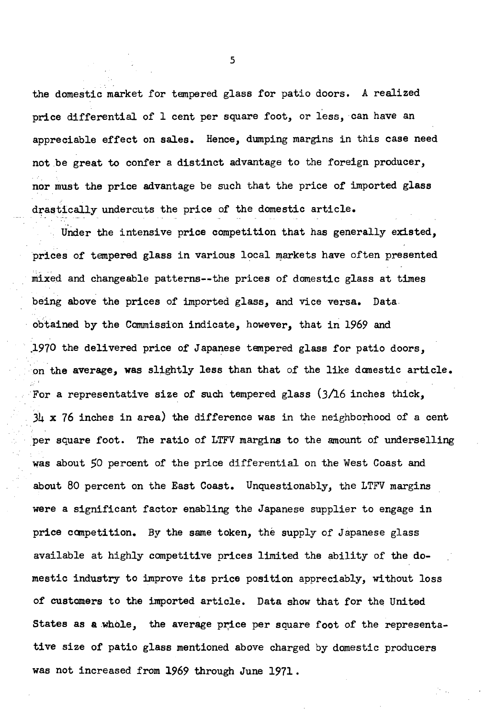the domestic market for tempered glass for patio doors. A realized price differential of 1 cent per square foot, or less, can have an appreciable effect on sales. Hence, dumping margins in this case need not be great to confer a distinct advantage to the foreign producer, nor must the price advantage be such that the price of imported glass drastically undercuts the price of the domestic article.

Under the intensive price competition that has generally existed, prices of tempered glass in various local markets have often presented niixed and changeable patterns--the prices of domestic glass at times being above the prices of imported glass, and vice versa. Data obtained by the Commission indicate, however, that in *1969* and · .1970 the delivered price of Japanese tempered glass for patio doors, ·on the average, was slightly less than that of the like danestic article. For a representative size of such tempered glass  $(3/16$  inches thick,  $3\mu$  x 76 inches in area) the difference was in the neighborhood of a cent . per square foot. The ratio of LTFV margins to the amount of underselling was about *50* percent of the price differential on the West Coast and about 80 percent on the East Coast. Unquestionably, the LTFV margins were a significant factor enabling the Japanese supplier to engage in price canpetition. By the same token, the supply of Japanese glass available at highly competitive prices limited the ability of the domestic industry to improve its price position appreciably, without loss of customers to the imported article. Data show that for the United States as a whole, the average price per square foot of the representative size of patio glass mentioned above charged by domestic producers was not increased from *1969* through June 1971.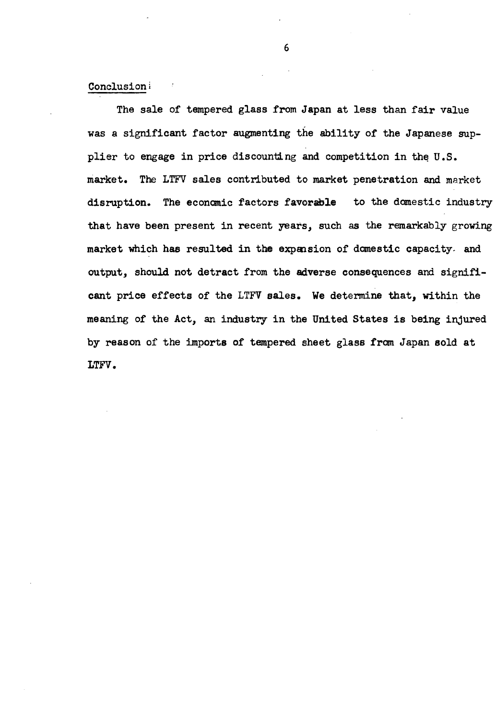#### Conclusioni

The sale of tempered glass from Japan at less than fair value was a significant factor augmenting the ability of the Japanese supplier to engage in price discounting and competition in the  $U.S.$ market. The LTFV sales contributed to market penetration and market disruption. The economic factors favorable to the domestic industry that have been present in recent years, such as the remarkably growing market which has resulted in the expansion of domestic capacity. and output, should not detract from the adverse consequences and significant price effects of the LTFV sales. We determine that, within the meaning of the Act, an industry in the United States is being injured by reason of the imports of tempered sheet glass from Japan sold at LTFV.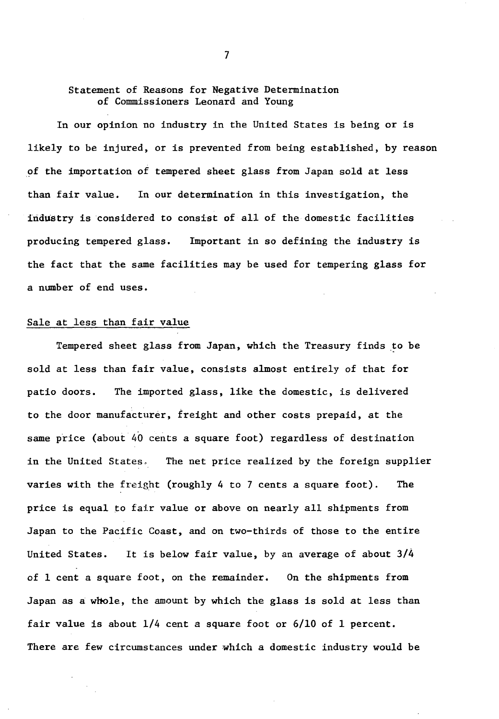#### Statement of Reasons for Negative Determination of Commissioners Leonard and Young

In our opinion no industry in the United States is being or is likely to be injured, or is prevented from being established, by reason of the importation of tempered sheet glass from Japan sold at less than fair value. In our determination in this investigation, the industry is considered to consist of all of the domestic facilities producing tempered glass. Important in so defining the industry is the fact that the same facilities may be used for tempering glass for a number of end uses.

#### Sale at less than fair value

Tempered sheet glass from Japan, which the Treasury finds to be sold at less than fair value, consists almost entirely of that for patio doors. The imported glass, like the domestic, is delivered to the door manufacturer, freight and other costs prepaid, at the same price (about 40 cents a square foot) regardless of destination in the United States. The net price realized by the foreign supplier varies with the freight (roughly 4 to 7 cents a square foot). The price is equal to fair value or above on nearly all shipments from Japan to the Pacific Coast, and on two-thirds of those to the entire United States. It is below fair value, by an average of about 3/4 of 1 cent a square foot, on the remainder. On the shipments from Japan as a wbole, the amount by which the glass is sold at less than fair value is about 1/4 cent a square foot or 6/10 of 1 percent. There are few circumstances under which a domestic industry would be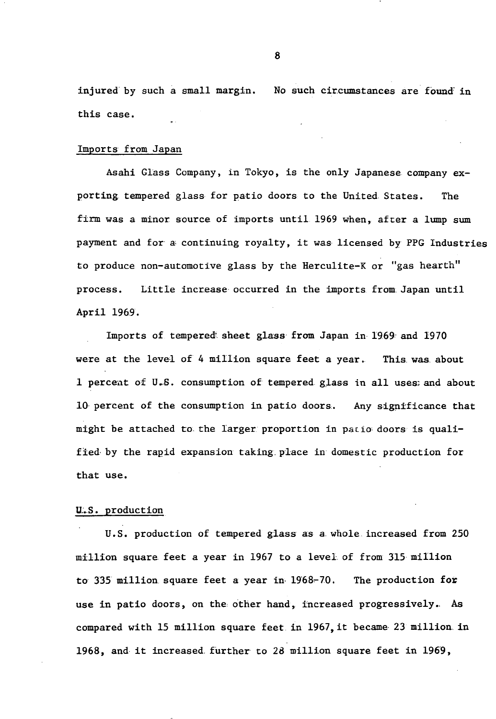injured by such a small margin. No such circumstances are found in this case.

#### Imports from Japan

Asahi Glass Company, in Tokyo, is the only Japanese company exporting tempered glass for patio doors to the United States. The firm was a minor source of imports until 1969 when, after a lump sum payment and for a continuing royalty, it was licensed by PPG Industries to produce non-automotive glass by the Herculite-K or "gas hearth" process. Little increase occurred in the imports from Japan until April 1969.

Imports of tempered sheet glass from Japan in 1969 and 1970 were at the level of 4 million square feet a year. This was about 1 percent of U.S. consumption of tempered glass in all uses; and about 10 percent of the consumption in patio doors. Any significance that might be attached to the larger proportion in patio doors is qualified by the rapid expansion taking place in domestic production for that use.

#### U.S. production

U.S. production of tempered glass as a. whole increased from 250 million square feet a year in 1967 to a level of from 315million to 335 million square feet a year in  $1968-70$ . The production for use in patio doors, on the other hand, increased progressively.. As compared with 15 million square feet in 1967, it became 23 million in 1968, and it increased further to  $28$  million square feet in  $1969$ ,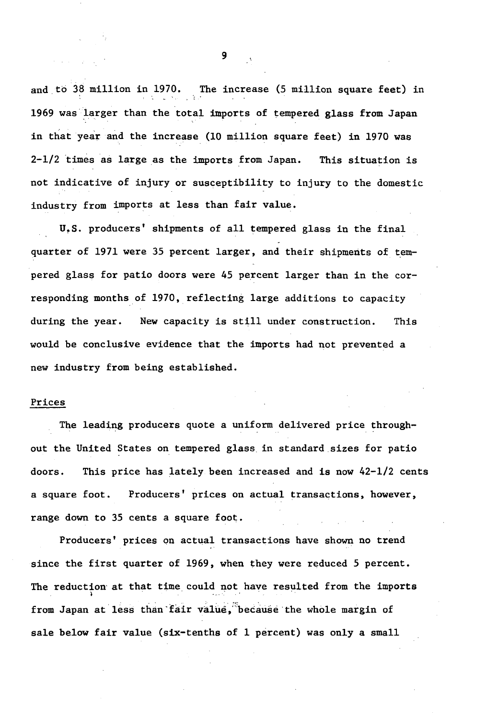and to 38 million in 1970. The increase (5 million square feet) in 1969 was larger than the total imports of tempered glass from Japan in that year and the increase (10 million square feet) in 1970 was  $2-1/2$  times as large as the imports from Japan. This situation is not indicative of injury or susceptibility to injury to the domestic industry from imports at less than fair value.

U.S. producers' shipments of all tempered glass in the final quarter of 1971 were 35 percent larger, and their shipments of tempered glass for patio doors were 45 percent larger than in the corresponding months of 1970, reflecting large additions to capacity during the year. New capacity is still under construction. This would be conclusive evidence that the imports had not prevented a new industry from being established.

#### Prices

The leading producers quote a uniform delivered price throughout the United States on tempered glass in standard.sizes for patio doors. This price has lately been increased and is now 42-1/2 cents a square foot. Producers' prices on actual transactions, however, range down to 35 cents a square foot.

Producers' prices on actual transactions have shown no trend since the first quarter of 1969, when they were reduced 5 percent. The reduction at that time could not have resulted from the imports from Japan at less than fair value, because the whole margin of sale below fair value (six-tenths of 1 percent) was only a small